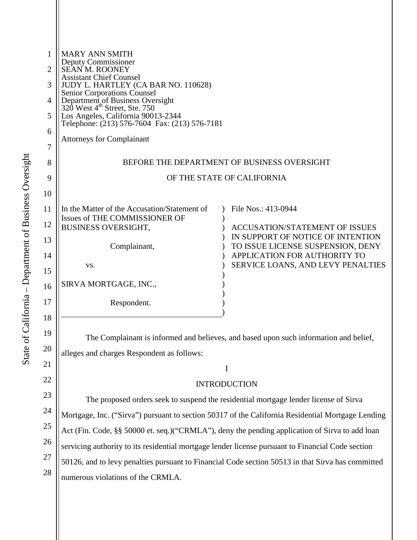| 1              | <b>MARY ANN SMITH</b>                                                                                        |                                                                                       |
|----------------|--------------------------------------------------------------------------------------------------------------|---------------------------------------------------------------------------------------|
| 2              | Deputy Commissioner<br>SEAN M. ROONEY                                                                        |                                                                                       |
| 3              | <b>Assistant Chief Counsel</b><br>JUDY L. HARTLEY (CA BAR NO. 110628)                                        |                                                                                       |
| $\overline{4}$ | Senior Corporations Counsel<br>Department of Business Oversight<br>320 West 4 <sup>th</sup> Street, Ste. 750 |                                                                                       |
| 5              | Los Angeles, California 90013-2344<br>Telephone: (213) 576-7604 Fax: (213) 576-7181                          |                                                                                       |
| 6              |                                                                                                              |                                                                                       |
| 7              | <b>Attorneys for Complainant</b>                                                                             |                                                                                       |
| 8              | BEFORE THE DEPARTMENT OF BUSINESS OVERSIGHT                                                                  |                                                                                       |
| 9              | OF THE STATE OF CALIFORNIA                                                                                   |                                                                                       |
| 10             |                                                                                                              |                                                                                       |
| 11             | In the Matter of the Accusation/Statement of                                                                 | File Nos.: 413-0944                                                                   |
| 12             | Issues of THE COMMISSIONER OF<br><b>BUSINESS OVERSIGHT,</b>                                                  | <b>ACCUSATION/STATEMENT OF ISSUES</b>                                                 |
| 13             |                                                                                                              | IN SUPPORT OF NOTICE OF INTENTION                                                     |
|                | Complainant,                                                                                                 | TO ISSUE LICENSE SUSPENSION, DENY                                                     |
| 14             |                                                                                                              | APPLICATION FOR AUTHORITY TO<br>SERVICE LOANS, AND LEVY PENALTIES                     |
| 15             | VS.                                                                                                          |                                                                                       |
| 16             | SIRVA MORTGAGE, INC.,                                                                                        |                                                                                       |
| 17             | Respondent.                                                                                                  |                                                                                       |
| 18             |                                                                                                              |                                                                                       |
| 19             |                                                                                                              | The Complainant is informed and believes, and based upon such information and belief, |

alleges and charges Respondent as follows:

# **INTRODUCTION**

I

The proposed orders seek to suspend the residential mortgage lender license of Sirva Mortgage, Inc. ("Sirva") pursuant to section 50317 of the California Residential Mortgage Lending Act (Fin. Code, §§ 50000 et. seq.)("CRMLA"), deny the pending application of Sirva to add loan servicing authority to its residential mortgage lender license pursuant to Financial Code section 50126, and to levy penalties pursuant to Financial Code section 50513 in that Sirva has committed numerous violations of the CRMLA.

20

21

22

23

24

25

26

27

28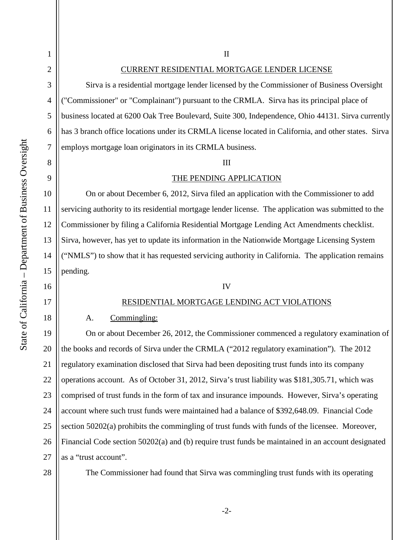1

2

3

4

5

6

7

8

9

10

11

12

13

14

15

16

17

18

# II

# CURRENT RESIDENTIAL MORTGAGE LENDER LICENSE

Sirva is a residential mortgage lender licensed by the Commissioner of Business Oversight ("Commissioner" or "Complainant") pursuant to the CRMLA. Sirva has its principal place of business located at 6200 Oak Tree Boulevard, Suite 300, Independence, Ohio 44131. Sirva currently has 3 branch office locations under its CRMLA license located in California, and other states. Sirva employs mortgage loan originators in its CRMLA business.

#### III

#### THE PENDING APPLICATION

On or about December 6, 2012, Sirva filed an application with the Commissioner to add servicing authority to its residential mortgage lender license. The application was submitted to the Commissioner by filing a California Residential Mortgage Lending Act Amendments checklist. Sirva, however, has yet to update its information in the Nationwide Mortgage Licensing System ("NMLS") to show that it has requested servicing authority in California. The application remains pending.

## IV

# RESIDENTIAL MORTGAGE LENDING ACT VIOLATIONS

#### A. Commingling:

19 20 21 22 23 24 25 26 27 On or about December 26, 2012, the Commissioner commenced a regulatory examination of the books and records of Sirva under the CRMLA ("2012 regulatory examination"). The 2012 regulatory examination disclosed that Sirva had been depositing trust funds into its company operations account. As of October 31, 2012, Sirva's trust liability was \$181,305.71, which was comprised of trust funds in the form of tax and insurance impounds. However, Sirva's operating account where such trust funds were maintained had a balance of \$392,648.09. Financial Code section 50202(a) prohibits the commingling of trust funds with funds of the licensee. Moreover, Financial Code section 50202(a) and (b) require trust funds be maintained in an account designated as a "trust account".

28

The Commissioner had found that Sirva was commingling trust funds with its operating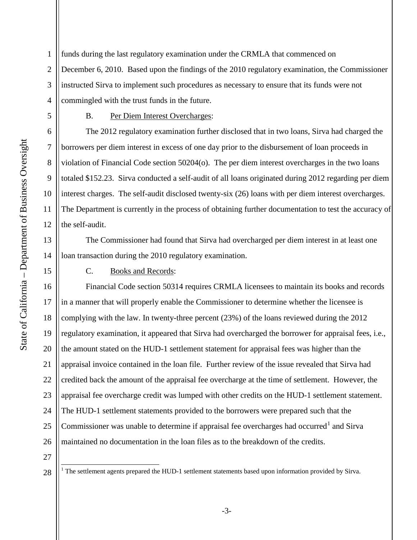1 2 3 4 funds during the last regulatory examination under the CRMLA that commenced on December 6, 2010. Based upon the findings of the 2010 regulatory examination, the Commissioner instructed Sirva to implement such procedures as necessary to ensure that its funds were not commingled with the trust funds in the future.

# B. Per Diem Interest Overcharges:

The 2012 regulatory examination further disclosed that in two loans, Sirva had charged the borrowers per diem interest in excess of one day prior to the disbursement of loan proceeds in violation of Financial Code section 50204(o). The per diem interest overcharges in the two loans totaled \$152.23. Sirva conducted a self-audit of all loans originated during 2012 regarding per diem interest charges. The self-audit disclosed twenty-six (26) loans with per diem interest overcharges. The Department is currently in the process of obtaining further documentation to test the accuracy of the self-audit.

The Commissioner had found that Sirva had overcharged per diem interest in at least one loan transaction during the 2010 regulatory examination.

C. Books and Records:

16 17 18 19 20 21 22 23 24 25 26 Financial Code section 50314 requires CRMLA licensees to maintain its books and records in a manner that will properly enable the Commissioner to determine whether the licensee is complying with the law. In twenty-three percent (23%) of the loans reviewed during the 2012 regulatory examination, it appeared that Sirva had overcharged the borrower for appraisal fees, i.e., the amount stated on the HUD-1 settlement statement for appraisal fees was higher than the appraisal invoice contained in the loan file. Further review of the issue revealed that Sirva had credited back the amount of the appraisal fee overcharge at the time of settlement. However, the appraisal fee overcharge credit was lumped with other credits on the HUD-1 settlement statement. The HUD-1 settlement statements provided to the borrowers were prepared such that the Commissioner was unable to determine if appraisal fee overcharges had occurred<sup>[1](#page-2-0)</sup> and Sirva maintained no documentation in the loan files as to the breakdown of the credits.

27

<span id="page-2-0"></span>28

5

6

7

8

9

10

11

12

13

14

15

<sup>&</sup>lt;sup>1</sup> The settlement agents prepared the HUD-1 settlement statements based upon information provided by Sirva.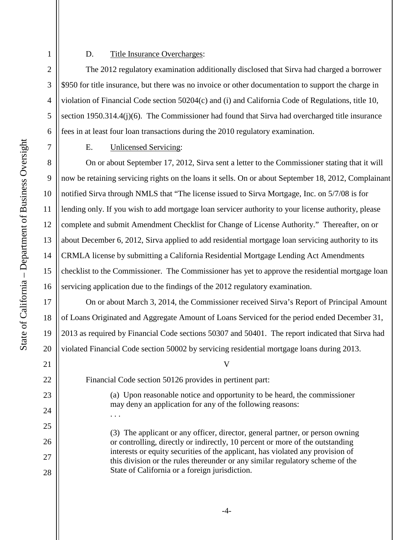## D. Title Insurance Overcharges:

The 2012 regulatory examination additionally disclosed that Sirva had charged a borrower \$950 for title insurance, but there was no invoice or other documentation to support the charge in violation of Financial Code section 50204(c) and (i) and California Code of Regulations, title 10, section 1950.314.4(j)(6). The Commissioner had found that Sirva had overcharged title insurance fees in at least four loan transactions during the 2010 regulatory examination.

# E. Unlicensed Servicing:

On or about September 17, 2012, Sirva sent a letter to the Commissioner stating that it will now be retaining servicing rights on the loans it sells. On or about September 18, 2012, Complainant notified Sirva through NMLS that "The license issued to Sirva Mortgage, Inc. on 5/7/08 is for lending only. If you wish to add mortgage loan servicer authority to your license authority, please complete and submit Amendment Checklist for Change of License Authority." Thereafter, on or about December 6, 2012, Sirva applied to add residential mortgage loan servicing authority to its CRMLA license by submitting a California Residential Mortgage Lending Act Amendments checklist to the Commissioner. The Commissioner has yet to approve the residential mortgage loan servicing application due to the findings of the 2012 regulatory examination.

On or about March 3, 2014, the Commissioner received Sirva's Report of Principal Amount of Loans Originated and Aggregate Amount of Loans Serviced for the period ended December 31, 2013 as required by Financial Code sections 50307 and 50401. The report indicated that Sirva had violated Financial Code section 50002 by servicing residential mortgage loans during 2013.

21 22

23

24

25

26

27

28

V

Financial Code section 50126 provides in pertinent part:

. . .

(a) Upon reasonable notice and opportunity to be heard, the commissioner may deny an application for any of the following reasons:

(3) The applicant or any officer, director, general partner, or person owning or controlling, directly or indirectly, 10 percent or more of the outstanding interests or equity securities of the applicant, has violated any provision of this division or the rules thereunder or any similar regulatory scheme of the State of California or a foreign jurisdiction.

1

2

3

4

5

6

7

8

9

10

11

12

13

14

15

16

17

18

19

20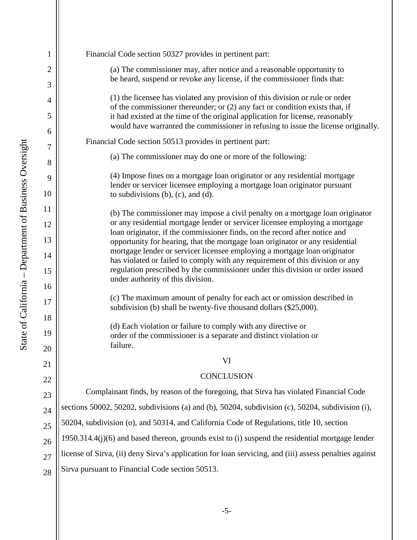| 1                   | Financial Code section 50327 provides in pertinent part:                                                                                                             |  |  |
|---------------------|----------------------------------------------------------------------------------------------------------------------------------------------------------------------|--|--|
| $\overline{2}$<br>3 | (a) The commissioner may, after notice and a reasonable opportunity to<br>be heard, suspend or revoke any license, if the commissioner finds that:                   |  |  |
| 4                   | (1) the licensee has violated any provision of this division or rule or order<br>of the commissioner thereunder; or $(2)$ any fact or condition exists that, if      |  |  |
| 5                   | it had existed at the time of the original application for license, reasonably<br>would have warranted the commissioner in refusing to issue the license originally. |  |  |
| 6<br>7              | Financial Code section 50513 provides in pertinent part:                                                                                                             |  |  |
| 8                   | (a) The commissioner may do one or more of the following:                                                                                                            |  |  |
| 9                   | (4) Impose fines on a mortgage loan originator or any residential mortgage                                                                                           |  |  |
| 10                  | lender or servicer licensee employing a mortgage loan originator pursuant<br>to subdivisions $(b)$ , $(c)$ , and $(d)$ .                                             |  |  |
| 11                  | (b) The commissioner may impose a civil penalty on a mortgage loan originator                                                                                        |  |  |
| 12                  | or any residential mortgage lender or servicer licensee employing a mortgage<br>loan originator, if the commissioner finds, on the record after notice and           |  |  |
| 13                  | opportunity for hearing, that the mortgage loan originator or any residential                                                                                        |  |  |
| 14                  | mortgage lender or servicer licensee employing a mortgage loan originator<br>has violated or failed to comply with any requirement of this division or any           |  |  |
| 15<br>16            | regulation prescribed by the commissioner under this division or order issued<br>under authority of this division.                                                   |  |  |
| 17                  | (c) The maximum amount of penalty for each act or omission described in<br>subdivision (b) shall be twenty-five thousand dollars (\$25,000).                         |  |  |
| 18                  |                                                                                                                                                                      |  |  |
| 19                  | (d) Each violation or failure to comply with any directive or<br>order of the commissioner is a separate and distinct violation or                                   |  |  |
| 20                  | failure.                                                                                                                                                             |  |  |
| 21                  | VI                                                                                                                                                                   |  |  |
| 22                  | <b>CONCLUSION</b>                                                                                                                                                    |  |  |
| 23                  | Complainant finds, by reason of the foregoing, that Sirva has violated Financial Code                                                                                |  |  |
| 24                  | sections 50002, 50202, subdivisions (a) and (b), 50204, subdivision (c), 50204, subdivision (i),                                                                     |  |  |
| 25                  | 50204, subdivision (o), and 50314, and California Code of Regulations, title 10, section                                                                             |  |  |
| 26                  | $1950.314.4(j)(6)$ and based thereon, grounds exist to (i) suspend the residential mortgage lender                                                                   |  |  |
| 27                  | license of Sirva, (ii) deny Sirva's application for loan servicing, and (iii) assess penalties against                                                               |  |  |
| 28                  | Sirva pursuant to Financial Code section 50513.                                                                                                                      |  |  |